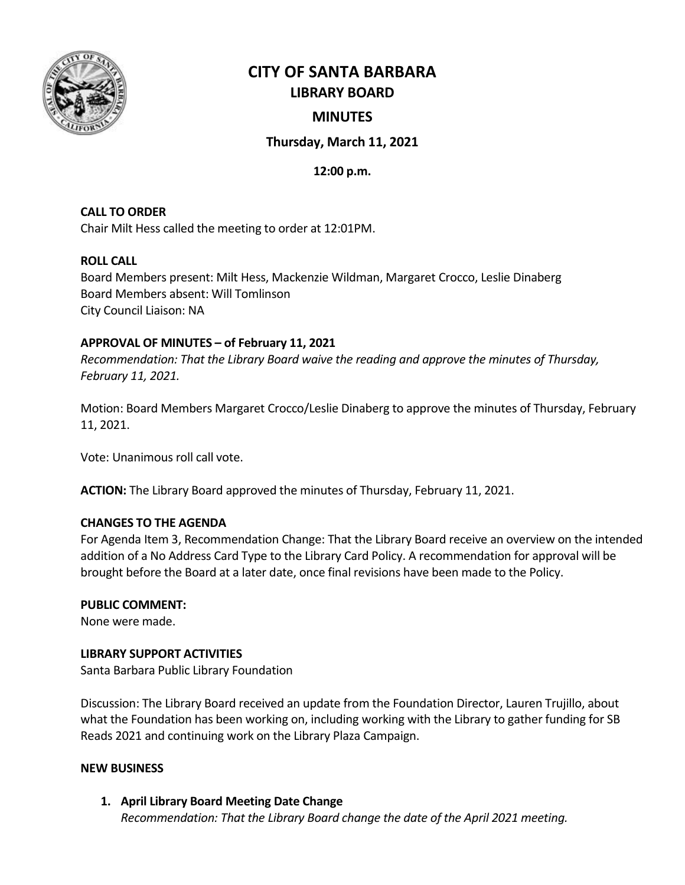

# **CITY OF SANTA BARBARA LIBRARY BOARD**

# **MINUTES**

# **Thursday, March 11, 2021**

# **12:00 p.m.**

**CALL TO ORDER** Chair Milt Hess called the meeting to order at 12:01PM.

# **ROLL CALL**

Board Members present: Milt Hess, Mackenzie Wildman, Margaret Crocco, Leslie Dinaberg Board Members absent: Will Tomlinson City Council Liaison: NA

# **APPROVAL OF MINUTES – of February 11, 2021**

*Recommendation: That the Library Board waive the reading and approve the minutes of Thursday, February 11, 2021.*

Motion: Board Members Margaret Crocco/Leslie Dinaberg to approve the minutes of Thursday, February 11, 2021.

Vote: Unanimous roll call vote.

**ACTION:** The Library Board approved the minutes of Thursday, February 11, 2021.

# **CHANGES TO THE AGENDA**

For Agenda Item 3, Recommendation Change: That the Library Board receive an overview on the intended addition of a No Address Card Type to the Library Card Policy. A recommendation for approval will be brought before the Board at a later date, once final revisions have been made to the Policy.

# **PUBLIC COMMENT:**

None were made.

# **LIBRARY SUPPORT ACTIVITIES**

Santa Barbara Public Library Foundation

Discussion: The Library Board received an update from the Foundation Director, Lauren Trujillo, about what the Foundation has been working on, including working with the Library to gather funding for SB Reads 2021 and continuing work on the Library Plaza Campaign.

# **NEW BUSINESS**

# **1. April Library Board Meeting Date Change**

*Recommendation: That the Library Board change the date of the April 2021 meeting.*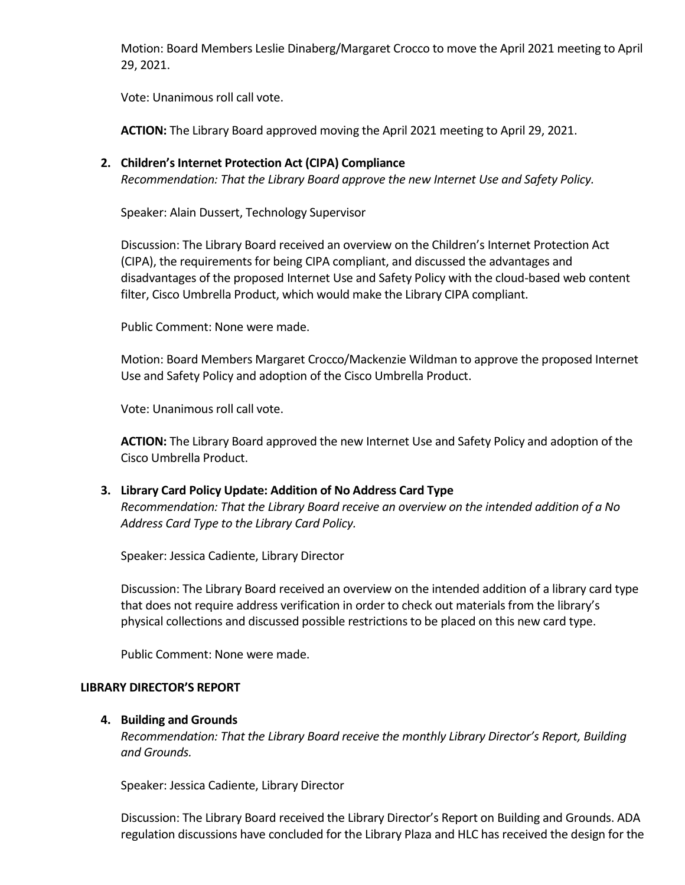Motion: Board Members Leslie Dinaberg/Margaret Crocco to move the April 2021 meeting to April 29, 2021.

Vote: Unanimous roll call vote.

**ACTION:** The Library Board approved moving the April 2021 meeting to April 29, 2021.

**2. Children's Internet Protection Act (CIPA) Compliance**  *Recommendation: That the Library Board approve the new Internet Use and Safety Policy.*

Speaker: Alain Dussert, Technology Supervisor

Discussion: The Library Board received an overview on the Children's Internet Protection Act (CIPA), the requirements for being CIPA compliant, and discussed the advantages and disadvantages of the proposed Internet Use and Safety Policy with the cloud-based web content filter, Cisco Umbrella Product, which would make the Library CIPA compliant.

Public Comment: None were made.

Motion: Board Members Margaret Crocco/Mackenzie Wildman to approve the proposed Internet Use and Safety Policy and adoption of the Cisco Umbrella Product.

Vote: Unanimous roll call vote.

**ACTION:** The Library Board approved the new Internet Use and Safety Policy and adoption of the Cisco Umbrella Product.

**3. Library Card Policy Update: Addition of No Address Card Type**

*Recommendation: That the Library Board receive an overview on the intended addition of a No Address Card Type to the Library Card Policy.* 

Speaker: Jessica Cadiente, Library Director

Discussion: The Library Board received an overview on the intended addition of a library card type that does not require address verification in order to check out materials from the library's physical collections and discussed possible restrictions to be placed on this new card type.

Public Comment: None were made.

#### **LIBRARY DIRECTOR'S REPORT**

#### **4. Building and Grounds**

*Recommendation: That the Library Board receive the monthly Library Director's Report, Building and Grounds.*

Speaker: Jessica Cadiente, Library Director

Discussion: The Library Board received the Library Director's Report on Building and Grounds. ADA regulation discussions have concluded for the Library Plaza and HLC has received the design for the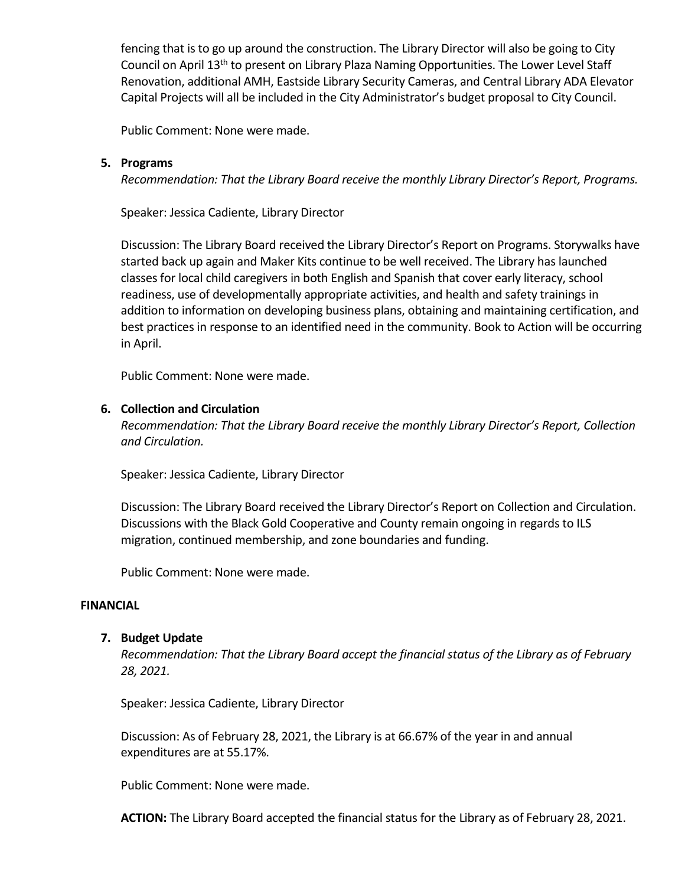fencing that is to go up around the construction. The Library Director will also be going to City Council on April 13<sup>th</sup> to present on Library Plaza Naming Opportunities. The Lower Level Staff Renovation, additional AMH, Eastside Library Security Cameras, and Central Library ADA Elevator Capital Projects will all be included in the City Administrator's budget proposal to City Council.

Public Comment: None were made.

# **5. Programs**

*Recommendation: That the Library Board receive the monthly Library Director's Report, Programs.*

Speaker: Jessica Cadiente, Library Director

Discussion: The Library Board received the Library Director's Report on Programs. Storywalks have started back up again and Maker Kits continue to be well received. The Library has launched classes for local child caregivers in both English and Spanish that cover early literacy, school readiness, use of developmentally appropriate activities, and health and safety trainings in addition to information on developing business plans, obtaining and maintaining certification, and best practices in response to an identified need in the community. Book to Action will be occurring in April.

Public Comment: None were made.

# **6. Collection and Circulation**

*Recommendation: That the Library Board receive the monthly Library Director's Report, Collection and Circulation.*

Speaker: Jessica Cadiente, Library Director

Discussion: The Library Board received the Library Director's Report on Collection and Circulation. Discussions with the Black Gold Cooperative and County remain ongoing in regards to ILS migration, continued membership, and zone boundaries and funding.

Public Comment: None were made.

#### **FINANCIAL**

#### **7. Budget Update**

*Recommendation: That the Library Board accept the financial status of the Library as of February 28, 2021.* 

Speaker: Jessica Cadiente, Library Director

Discussion: As of February 28, 2021, the Library is at 66.67% of the year in and annual expenditures are at 55.17%.

Public Comment: None were made.

**ACTION:** The Library Board accepted the financial status for the Library as of February 28, 2021.